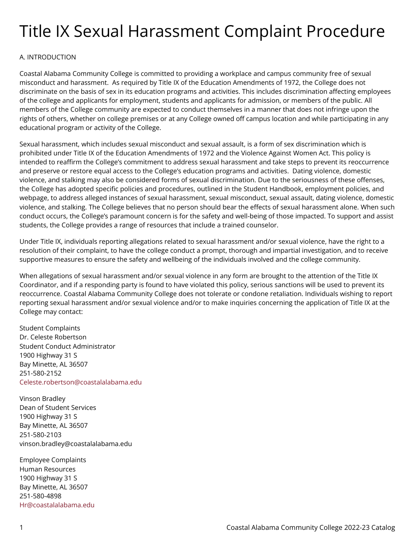# Title IX Sexual Harassment Complaint Procedure

# A. INTRODUCTION

Coastal Alabama Community College is committed to providing a workplace and campus community free of sexual misconduct and harassment. As required by Title IX of the Education Amendments of 1972, the College does not discriminate on the basis of sex in its education programs and activities. This includes discrimination affecting employees of the college and applicants for employment, students and applicants for admission, or members of the public. All members of the College community are expected to conduct themselves in a manner that does not infringe upon the rights of others, whether on college premises or at any College owned off campus location and while participating in any educational program or activity of the College.

Sexual harassment, which includes sexual misconduct and sexual assault, is a form of sex discrimination which is prohibited under Title IX of the Education Amendments of 1972 and the Violence Against Women Act. This policy is intended to reaffirm the College's commitment to address sexual harassment and take steps to prevent its reoccurrence and preserve or restore equal access to the College's education programs and activities. Dating violence, domestic violence, and stalking may also be considered forms of sexual discrimination. Due to the seriousness of these offenses, the College has adopted specific policies and procedures, outlined in the Student Handbook, employment policies, and webpage, to address alleged instances of sexual harassment, sexual misconduct, sexual assault, dating violence, domestic violence, and stalking. The College believes that no person should bear the effects of sexual harassment alone. When such conduct occurs, the College's paramount concern is for the safety and well-being of those impacted. To support and assist students, the College provides a range of resources that include a trained counselor.

Under Title IX, individuals reporting allegations related to sexual harassment and/or sexual violence, have the right to a resolution of their complaint, to have the college conduct a prompt, thorough and impartial investigation, and to receive supportive measures to ensure the safety and wellbeing of the individuals involved and the college community.

When allegations of sexual harassment and/or sexual violence in any form are brought to the attention of the Title IX Coordinator, and if a responding party is found to have violated this policy, serious sanctions will be used to prevent its reoccurrence. Coastal Alabama Community College does not tolerate or condone retaliation. Individuals wishing to report reporting sexual harassment and/or sexual violence and/or to make inquiries concerning the application of Title IX at the College may contact:

Student Complaints Dr. Celeste Robertson Student Conduct Administrator 1900 Highway 31 S Bay Minette, AL 36507 251-580-2152 [Celeste.robertson@coastalalabama.edu](mailto:Celeste.robertson@coastalalabama.edu) 

Vinson Bradley Dean of Student Services 1900 Highway 31 S Bay Minette, AL 36507 251-580-2103 vinson.bradley@coastalalabama.edu

Employee Complaints Human Resources 1900 Highway 31 S Bay Minette, AL 36507 251-580-4898 [Hr@coastalalabama.edu](mailto:Hr@coastalalabama.edu)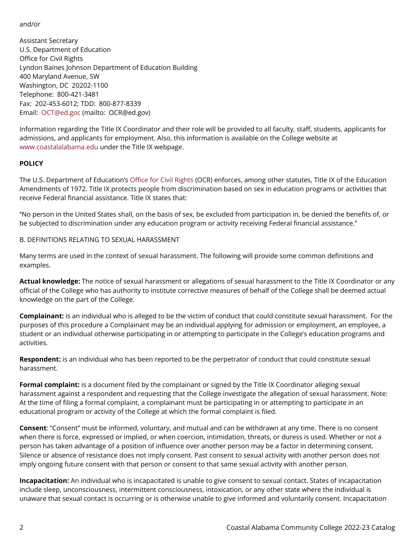and/or

Assistant Secretary U.S. Department of Education Office for Civil Rights Lyndon Baines Johnson Department of Education Building 400 Maryland Avenue, SW Washington, DC 20202-1100 Telephone: 800-421-3481 Fax: 202-453-6012; TDD: 800-877-8339 Email: [OCT@ed.goc](mailto:OCT@ed.goc) (mailto: OCR@ed.gov)

Information regarding the Title IX Coordinator and their role will be provided to all faculty, staff, students, applicants for admissions, and applicants for employment. Also, this information is available on the College website at [www.coastalalabama.edu](http://www.coastalalabama.edu/) under the Title IX webpage.

# **POLICY**

The U.S. Department of Education's [Office for Civil Rights](https://www2.ed.gov/about/offices/list/ocr/aboutocr.html) (OCR) enforces, among other statutes, Title IX of the Education Amendments of 1972. Title IX protects people from discrimination based on sex in education programs or activities that receive Federal financial assistance. Title IX states that:

"No person in the United States shall, on the basis of sex, be excluded from participation in, be denied the benefits of, or be subjected to discrimination under any education program or activity receiving Federal financial assistance."

# B. DEFINITIONS RELATING TO SEXUAL HARASSMENT

Many terms are used in the context of sexual harassment. The following will provide some common definitions and examples.

**Actual knowledge:** The notice of sexual harassment or allegations of sexual harassment to the Title IX Coordinator or any official of the College who has authority to institute corrective measures of behalf of the College shall be deemed actual knowledge on the part of the College.

**Complainant:** is an individual who is alleged to be the victim of conduct that could constitute sexual harassment. For the purposes of this procedure a Complainant may be an individual applying for admission or employment, an employee, a student or an individual otherwise participating in or attempting to participate in the College's education programs and activities.

**Respondent:** is an individual who has been reported to be the perpetrator of conduct that could constitute sexual harassment.

**Formal complaint:** is a document filed by the complainant or signed by the Title IX Coordinator alleging sexual harassment against a respondent and requesting that the College investigate the allegation of sexual harassment. Note: At the time of filing a formal complaint, a complainant must be participating in or attempting to participate in an educational program or activity of the College at which the formal complaint is filed.

**Consent**: "Consent" must be informed, voluntary, and mutual and can be withdrawn at any time. There is no consent when there is force, expressed or implied, or when coercion, intimidation, threats, or duress is used. Whether or not a person has taken advantage of a position of influence over another person may be a factor in determining consent. Silence or absence of resistance does not imply consent. Past consent to sexual activity with another person does not imply ongoing future consent with that person or consent to that same sexual activity with another person.

**Incapacitation:** An individual who is incapacitated is unable to give consent to sexual contact. States of incapacitation include sleep, unconsciousness, intermittent consciousness, intoxication, or any other state where the individual is unaware that sexual contact is occurring or is otherwise unable to give informed and voluntarily consent. Incapacitation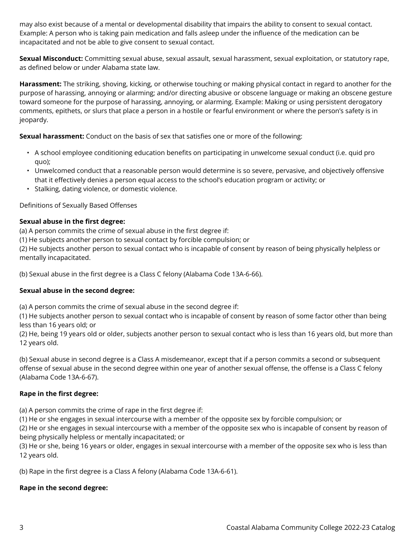may also exist because of a mental or developmental disability that impairs the ability to consent to sexual contact. Example: A person who is taking pain medication and falls asleep under the influence of the medication can be incapacitated and not be able to give consent to sexual contact.

**Sexual Misconduct:** Committing sexual abuse, sexual assault, sexual harassment, sexual exploitation, or statutory rape, as defined below or under Alabama state law.

**Harassment:** The striking, shoving, kicking, or otherwise touching or making physical contact in regard to another for the purpose of harassing, annoying or alarming; and/or directing abusive or obscene language or making an obscene gesture toward someone for the purpose of harassing, annoying, or alarming. Example: Making or using persistent derogatory comments, epithets, or slurs that place a person in a hostile or fearful environment or where the person's safety is in jeopardy.

**Sexual harassment:** Conduct on the basis of sex that satisfies one or more of the following:

- A school employee conditioning education benefits on participating in unwelcome sexual conduct (i.e. quid pro quo);
- Unwelcomed conduct that a reasonable person would determine is so severe, pervasive, and objectively offensive that it effectively denies a person equal access to the school's education program or activity; or
- Stalking, dating violence, or domestic violence.

Definitions of Sexually Based Offenses

#### **Sexual abuse in the first degree:**

(a) A person commits the crime of sexual abuse in the first degree if:

(1) He subjects another person to sexual contact by forcible compulsion; or

(2) He subjects another person to sexual contact who is incapable of consent by reason of being physically helpless or mentally incapacitated.

(b) Sexual abuse in the first degree is a Class C felony (Alabama Code 13A-6-66).

#### **Sexual abuse in the second degree:**

(a) A person commits the crime of sexual abuse in the second degree if:

(1) He subjects another person to sexual contact who is incapable of consent by reason of some factor other than being less than 16 years old; or

(2) He, being 19 years old or older, subjects another person to sexual contact who is less than 16 years old, but more than 12 years old.

(b) Sexual abuse in second degree is a Class A misdemeanor, except that if a person commits a second or subsequent offense of sexual abuse in the second degree within one year of another sexual offense, the offense is a Class C felony (Alabama Code 13A-6-67).

# **Rape in the first degree:**

(a) A person commits the crime of rape in the first degree if:

(1) He or she engages in sexual intercourse with a member of the opposite sex by forcible compulsion; or

(2) He or she engages in sexual intercourse with a member of the opposite sex who is incapable of consent by reason of being physically helpless or mentally incapacitated; or

(3) He or she, being 16 years or older, engages in sexual intercourse with a member of the opposite sex who is less than 12 years old.

(b) Rape in the first degree is a Class A felony (Alabama Code 13A-6-61).

# **Rape in the second degree:**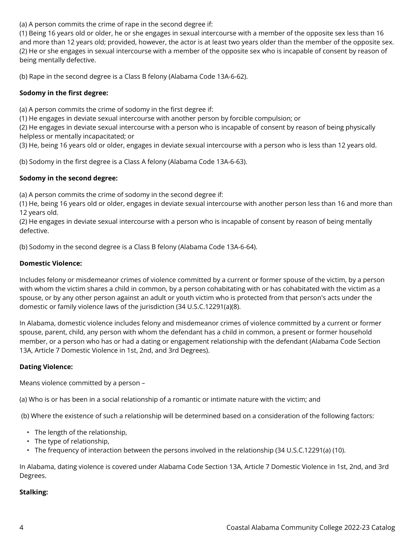(a) A person commits the crime of rape in the second degree if:

(1) Being 16 years old or older, he or she engages in sexual intercourse with a member of the opposite sex less than 16 and more than 12 years old; provided, however, the actor is at least two years older than the member of the opposite sex. (2) He or she engages in sexual intercourse with a member of the opposite sex who is incapable of consent by reason of being mentally defective.

(b) Rape in the second degree is a Class B felony (Alabama Code 13A-6-62).

# **Sodomy in the first degree:**

(a) A person commits the crime of sodomy in the first degree if:

(1) He engages in deviate sexual intercourse with another person by forcible compulsion; or

(2) He engages in deviate sexual intercourse with a person who is incapable of consent by reason of being physically helpless or mentally incapacitated; or

(3) He, being 16 years old or older, engages in deviate sexual intercourse with a person who is less than 12 years old.

(b) Sodomy in the first degree is a Class A felony (Alabama Code 13A-6-63).

# **Sodomy in the second degree:**

(a) A person commits the crime of sodomy in the second degree if:

(1) He, being 16 years old or older, engages in deviate sexual intercourse with another person less than 16 and more than 12 years old.

(2) He engages in deviate sexual intercourse with a person who is incapable of consent by reason of being mentally defective.

(b) Sodomy in the second degree is a Class B felony (Alabama Code 13A-6-64).

# **Domestic Violence:**

Includes felony or misdemeanor crimes of violence committed by a current or former spouse of the victim, by a person with whom the victim shares a child in common, by a person cohabitating with or has cohabitated with the victim as a spouse, or by any other person against an adult or youth victim who is protected from that person's acts under the domestic or family violence laws of the jurisdiction (34 U.S.C.12291(a)(8).

In Alabama, domestic violence includes felony and misdemeanor crimes of violence committed by a current or former spouse, parent, child, any person with whom the defendant has a child in common, a present or former household member, or a person who has or had a dating or engagement relationship with the defendant (Alabama Code Section 13A, Article 7 Domestic Violence in 1st, 2nd, and 3rd Degrees).

# **Dating Violence:**

Means violence committed by a person –

(a) Who is or has been in a social relationship of a romantic or intimate nature with the victim; and

(b) Where the existence of such a relationship will be determined based on a consideration of the following factors:

- The length of the relationship,
- The type of relationship,
- The frequency of interaction between the persons involved in the relationship (34 U.S.C.12291(a) (10).

In Alabama, dating violence is covered under Alabama Code Section 13A, Article 7 Domestic Violence in 1st, 2nd, and 3rd Degrees.

# **Stalking:**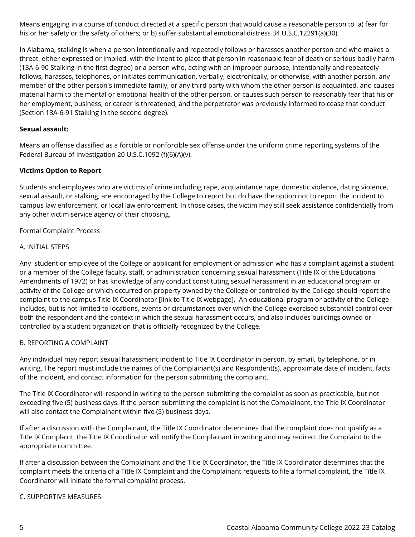Means engaging in a course of conduct directed at a specific person that would cause a reasonable person to a) fear for his or her safety or the safety of others; or b) suffer substantial emotional distress 34 U.S.C.12291(a)(30).

In Alabama, stalking is when a person intentionally and repeatedly follows or harasses another person and who makes a threat, either expressed or implied, with the intent to place that person in reasonable fear of death or serious bodily harm (13A-6-90 Stalking in the first degree) or a person who, acting with an improper purpose, intentionally and repeatedly follows, harasses, telephones, or initiates communication, verbally, electronically, or otherwise, with another person, any member of the other person's immediate family, or any third party with whom the other person is acquainted, and causes material harm to the mental or emotional health of the other person, or causes such person to reasonably fear that his or her employment, business, or career is threatened, and the perpetrator was previously informed to cease that conduct (Section 13A-6-91 Stalking in the second degree).

# **Sexual assault:**

Means an offense classified as a forcible or nonforcible sex offense under the uniform crime reporting systems of the Federal Bureau of Investigation 20 U.S.C.1092 (f)(6)(A)(v).

#### **Victims Option to Report**

Students and employees who are victims of crime including rape, acquaintance rape, domestic violence, dating violence, sexual assault, or stalking, are encouraged by the College to report but do have the option not to report the incident to campus law enforcement, or local law enforcement. In those cases, the victim may still seek assistance confidentially from any other victim service agency of their choosing.

#### Formal Complaint Process

#### A. INITIAL STEPS

Any student or employee of the College or applicant for employment or admission who has a complaint against a student or a member of the College faculty, staff, or administration concerning sexual harassment (Title IX of the Educational Amendments of 1972) or has knowledge of any conduct constituting sexual harassment in an educational program or activity of the College or which occurred on property owned by the College or controlled by the College should report the complaint to the campus Title IX Coordinator [link to Title IX webpage]. An educational program or activity of the College includes, but is not limited to locations, events or circumstances over which the College exercised substantial control over both the respondent and the context in which the sexual harassment occurs, and also includes buildings owned or controlled by a student organization that is officially recognized by the College.

#### B. REPORTING A COMPLAINT

Any individual may report sexual harassment incident to Title IX Coordinator in person, by email, by telephone, or in writing. The report must include the names of the Complainant(s) and Respondent(s), approximate date of incident, facts of the incident, and contact information for the person submitting the complaint.

The Title IX Coordinator will respond in writing to the person submitting the complaint as soon as practicable, but not exceeding five (5) business days. If the person submitting the complaint is not the Complainant, the Title IX Coordinator will also contact the Complainant within five (5) business days.

If after a discussion with the Complainant, the Title IX Coordinator determines that the complaint does not qualify as a Title IX Complaint, the Title IX Coordinator will notify the Complainant in writing and may redirect the Complaint to the appropriate committee.

If after a discussion between the Complainant and the Title IX Coordinator, the Title IX Coordinator determines that the complaint meets the criteria of a Title IX Complaint and the Complainant requests to file a formal complaint, the Title IX Coordinator will initiate the formal complaint process.

#### C. SUPPORTIVE MEASURES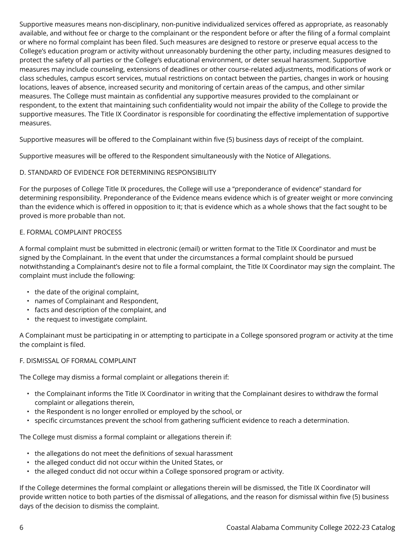Supportive measures means non-disciplinary, non-punitive individualized services offered as appropriate, as reasonably available, and without fee or charge to the complainant or the respondent before or after the filing of a formal complaint or where no formal complaint has been filed. Such measures are designed to restore or preserve equal access to the College's education program or activity without unreasonably burdening the other party, including measures designed to protect the safety of all parties or the College's educational environment, or deter sexual harassment. Supportive measures may include counseling, extensions of deadlines or other course-related adjustments, modifications of work or class schedules, campus escort services, mutual restrictions on contact between the parties, changes in work or housing locations, leaves of absence, increased security and monitoring of certain areas of the campus, and other similar measures. The College must maintain as confidential any supportive measures provided to the complainant or respondent, to the extent that maintaining such confidentiality would not impair the ability of the College to provide the supportive measures. The Title IX Coordinator is responsible for coordinating the effective implementation of supportive measures.

Supportive measures will be offered to the Complainant within five (5) business days of receipt of the complaint.

Supportive measures will be offered to the Respondent simultaneously with the Notice of Allegations.

# D. STANDARD OF EVIDENCE FOR DETERMINING RESPONSIBILITY

For the purposes of College Title IX procedures, the College will use a "preponderance of evidence" standard for determining responsibility. Preponderance of the Evidence means evidence which is of greater weight or more convincing than the evidence which is offered in opposition to it; that is evidence which as a whole shows that the fact sought to be proved is more probable than not.

#### E. FORMAL COMPLAINT PROCESS

A formal complaint must be submitted in electronic (email) or written format to the Title IX Coordinator and must be signed by the Complainant. In the event that under the circumstances a formal complaint should be pursued notwithstanding a Complainant's desire not to file a formal complaint, the Title IX Coordinator may sign the complaint. The complaint must include the following:

- the date of the original complaint,
- names of Complainant and Respondent,
- facts and description of the complaint, and
- the request to investigate complaint.

A Complainant must be participating in or attempting to participate in a College sponsored program or activity at the time the complaint is filed.

# F. DISMISSAL OF FORMAL COMPLAINT

The College may dismiss a formal complaint or allegations therein if:

- the Complainant informs the Title IX Coordinator in writing that the Complainant desires to withdraw the formal complaint or allegations therein,
- the Respondent is no longer enrolled or employed by the school, or
- specific circumstances prevent the school from gathering sufficient evidence to reach a determination.

The College must dismiss a formal complaint or allegations therein if:

- the allegations do not meet the definitions of sexual harassment
- the alleged conduct did not occur within the United States, or
- the alleged conduct did not occur within a College sponsored program or activity.

If the College determines the formal complaint or allegations therein will be dismissed, the Title IX Coordinator will provide written notice to both parties of the dismissal of allegations, and the reason for dismissal within five (5) business days of the decision to dismiss the complaint.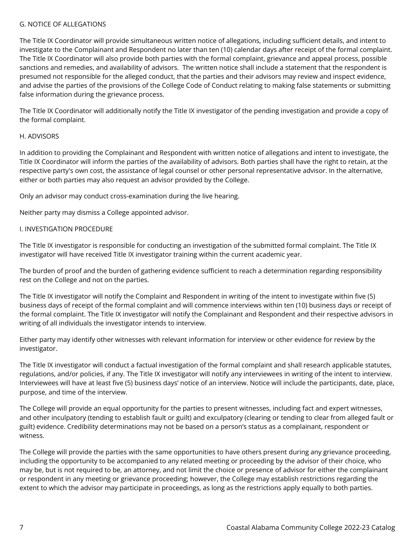#### G. NOTICE OF ALLEGATIONS

The Title IX Coordinator will provide simultaneous written notice of allegations, including sufficient details, and intent to investigate to the Complainant and Respondent no later than ten (10) calendar days after receipt of the formal complaint. The Title IX Coordinator will also provide both parties with the formal complaint, grievance and appeal process, possible sanctions and remedies, and availability of advisors. The written notice shall include a statement that the respondent is presumed not responsible for the alleged conduct, that the parties and their advisors may review and inspect evidence, and advise the parties of the provisions of the College Code of Conduct relating to making false statements or submitting false information during the grievance process.

The Title IX Coordinator will additionally notify the Title IX investigator of the pending investigation and provide a copy of the formal complaint.

#### H. ADVISORS

In addition to providing the Complainant and Respondent with written notice of allegations and intent to investigate, the Title IX Coordinator will inform the parties of the availability of advisors. Both parties shall have the right to retain, at the respective party's own cost, the assistance of legal counsel or other personal representative advisor. In the alternative, either or both parties may also request an advisor provided by the College.

Only an advisor may conduct cross-examination during the live hearing.

Neither party may dismiss a College appointed advisor.

#### I. INVESTIGATION PROCEDURE

The Title IX investigator is responsible for conducting an investigation of the submitted formal complaint. The Title IX investigator will have received Title IX investigator training within the current academic year.

The burden of proof and the burden of gathering evidence sufficient to reach a determination regarding responsibility rest on the College and not on the parties.

The Title IX investigator will notify the Complaint and Respondent in writing of the intent to investigate within five (5) business days of receipt of the formal complaint and will commence interviews within ten (10) business days or receipt of the formal complaint. The Title IX investigator will notify the Complainant and Respondent and their respective advisors in writing of all individuals the investigator intends to interview.

Either party may identify other witnesses with relevant information for interview or other evidence for review by the investigator.

The Title IX investigator will conduct a factual investigation of the formal complaint and shall research applicable statutes, regulations, and/or policies, if any. The Title IX investigator will notify any interviewees in writing of the intent to interview. Interviewees will have at least five (5) business days' notice of an interview. Notice will include the participants, date, place, purpose, and time of the interview.

The College will provide an equal opportunity for the parties to present witnesses, including fact and expert witnesses, and other inculpatory (tending to establish fault or guilt) and exculpatory (clearing or tending to clear from alleged fault or guilt) evidence. Credibility determinations may not be based on a person's status as a complainant, respondent or witness.

The College will provide the parties with the same opportunities to have others present during any grievance proceeding, including the opportunity to be accompanied to any related meeting or proceeding by the advisor of their choice, who may be, but is not required to be, an attorney, and not limit the choice or presence of advisor for either the complainant or respondent in any meeting or grievance proceeding; however, the College may establish restrictions regarding the extent to which the advisor may participate in proceedings, as long as the restrictions apply equally to both parties.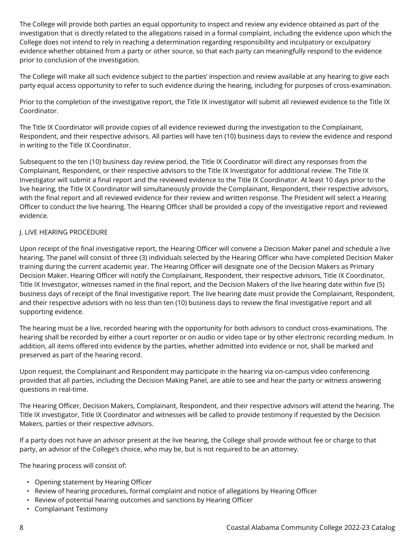The College will provide both parties an equal opportunity to inspect and review any evidence obtained as part of the investigation that is directly related to the allegations raised in a formal complaint, including the evidence upon which the College does not intend to rely in reaching a determination regarding responsibility and inculpatory or exculpatory evidence whether obtained from a party or other source, so that each party can meaningfully respond to the evidence prior to conclusion of the investigation.

The College will make all such evidence subject to the parties' inspection and review available at any hearing to give each party equal access opportunity to refer to such evidence during the hearing, including for purposes of cross-examination.

Prior to the completion of the investigative report, the Title IX investigator will submit all reviewed evidence to the Title IX Coordinator.

The Title IX Coordinator will provide copies of all evidence reviewed during the investigation to the Complainant, Respondent, and their respective advisors. All parties will have ten (10) business days to review the evidence and respond in writing to the Title IX Coordinator.

Subsequent to the ten (10) business day review period, the Title IX Coordinator will direct any responses from the Complainant, Respondent, or their respective advisors to the Title IX Investigator for additional review. The Title IX Investigator will submit a final report and the reviewed evidence to the Title IX Coordinator. At least 10 days prior to the live hearing, the Title IX Coordinator will simultaneously provide the Complainant, Respondent, their respective advisors, with the final report and all reviewed evidence for their review and written response. The President will select a Hearing Officer to conduct the live hearing. The Hearing Officer shall be provided a copy of the investigative report and reviewed evidence.

#### J. LIVE HEARING PROCEDURE

Upon receipt of the final investigative report, the Hearing Officer will convene a Decision Maker panel and schedule a live hearing. The panel will consist of three (3) individuals selected by the Hearing Officer who have completed Decision Maker training during the current academic year. The Hearing Officer will designate one of the Decision Makers as Primary Decision Maker. Hearing Officer will notify the Complainant, Respondent, their respective advisors, Title IX Coordinator, Title IX Investigator, witnesses named in the final report, and the Decision Makers of the live hearing date within five (5) business days of receipt of the final investigative report. The live hearing date must provide the Complainant, Respondent, and their respective advisors with no less than ten (10) business days to review the final investigative report and all supporting evidence.

The hearing must be a live, recorded hearing with the opportunity for both advisors to conduct cross-examinations. The hearing shall be recorded by either a court reporter or on audio or video tape or by other electronic recording medium. In addition, all items offered into evidence by the parties, whether admitted into evidence or not, shall be marked and preserved as part of the hearing record.

Upon request, the Complainant and Respondent may participate in the hearing via on-campus video conferencing provided that all parties, including the Decision Making Panel, are able to see and hear the party or witness answering questions in real-time.

The Hearing Officer, Decision Makers, Complainant, Respondent, and their respective advisors will attend the hearing. The Title IX investigator, Title IX Coordinator and witnesses will be called to provide testimony if requested by the Decision Makers, parties or their respective advisors.

If a party does not have an advisor present at the live hearing, the College shall provide without fee or charge to that party, an advisor of the College's choice, who may be, but is not required to be an attorney.

The hearing process will consist of:

- Opening statement by Hearing Officer
- Review of hearing procedures, formal complaint and notice of allegations by Hearing Officer
- Review of potential hearing outcomes and sanctions by Hearing Officer
- Complainant Testimony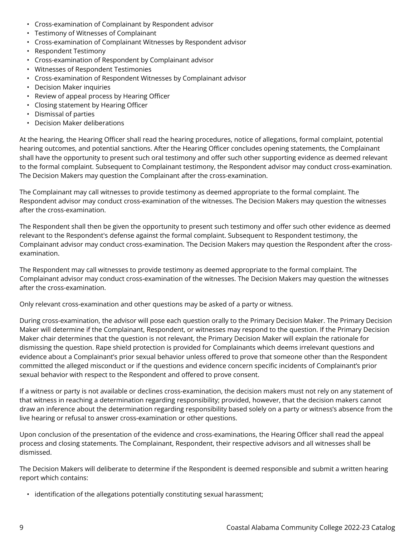- Cross-examination of Complainant by Respondent advisor
- Testimony of Witnesses of Complainant
- Cross-examination of Complainant Witnesses by Respondent advisor
- Respondent Testimony
- Cross-examination of Respondent by Complainant advisor
- Witnesses of Respondent Testimonies
- Cross-examination of Respondent Witnesses by Complainant advisor
- Decision Maker inquiries
- Review of appeal process by Hearing Officer
- Closing statement by Hearing Officer
- Dismissal of parties
- Decision Maker deliberations

At the hearing, the Hearing Officer shall read the hearing procedures, notice of allegations, formal complaint, potential hearing outcomes, and potential sanctions. After the Hearing Officer concludes opening statements, the Complainant shall have the opportunity to present such oral testimony and offer such other supporting evidence as deemed relevant to the formal complaint. Subsequent to Complainant testimony, the Respondent advisor may conduct cross-examination. The Decision Makers may question the Complainant after the cross-examination.

The Complainant may call witnesses to provide testimony as deemed appropriate to the formal complaint. The Respondent advisor may conduct cross-examination of the witnesses. The Decision Makers may question the witnesses after the cross-examination.

The Respondent shall then be given the opportunity to present such testimony and offer such other evidence as deemed relevant to the Respondent's defense against the formal complaint. Subsequent to Respondent testimony, the Complainant advisor may conduct cross-examination. The Decision Makers may question the Respondent after the crossexamination.

The Respondent may call witnesses to provide testimony as deemed appropriate to the formal complaint. The Complainant advisor may conduct cross-examination of the witnesses. The Decision Makers may question the witnesses after the cross-examination.

Only relevant cross-examination and other questions may be asked of a party or witness.

During cross-examination, the advisor will pose each question orally to the Primary Decision Maker. The Primary Decision Maker will determine if the Complainant, Respondent, or witnesses may respond to the question. If the Primary Decision Maker chair determines that the question is not relevant, the Primary Decision Maker will explain the rationale for dismissing the question. Rape shield protection is provided for Complainants which deems irrelevant questions and evidence about a Complainant's prior sexual behavior unless offered to prove that someone other than the Respondent committed the alleged misconduct or if the questions and evidence concern specific incidents of Complainant's prior sexual behavior with respect to the Respondent and offered to prove consent.

If a witness or party is not available or declines cross-examination, the decision makers must not rely on any statement of that witness in reaching a determination regarding responsibility; provided, however, that the decision makers cannot draw an inference about the determination regarding responsibility based solely on a party or witness's absence from the live hearing or refusal to answer cross-examination or other questions.

Upon conclusion of the presentation of the evidence and cross-examinations, the Hearing Officer shall read the appeal process and closing statements. The Complainant, Respondent, their respective advisors and all witnesses shall be dismissed.

The Decision Makers will deliberate to determine if the Respondent is deemed responsible and submit a written hearing report which contains:

• identification of the allegations potentially constituting sexual harassment;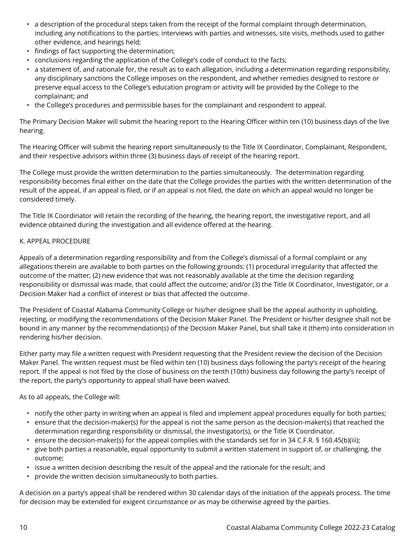- a description of the procedural steps taken from the receipt of the formal complaint through determination, including any notifications to the parties, interviews with parties and witnesses, site visits, methods used to gather other evidence, and hearings held;
- findings of fact supporting the determination;
- conclusions regarding the application of the College's code of conduct to the facts;
- a statement of, and rationale for, the result as to each allegation, including a determination regarding responsibility, any disciplinary sanctions the College imposes on the respondent, and whether remedies designed to restore or preserve equal access to the College's education program or activity will be provided by the College to the complainant; and
- the College's procedures and permissible bases for the complainant and respondent to appeal.

The Primary Decision Maker will submit the hearing report to the Hearing Officer within ten (10) business days of the live hearing.

The Hearing Officer will submit the hearing report simultaneously to the Title IX Coordinator, Complainant, Respondent, and their respective advisors within three (3) business days of receipt of the hearing report.

The College must provide the written determination to the parties simultaneously. The determination regarding responsibility becomes final either on the date that the College provides the parties with the written determination of the result of the appeal, if an appeal is filed, or if an appeal is not filed, the date on which an appeal would no longer be considered timely.

The Title IX Coordinator will retain the recording of the hearing, the hearing report, the investigative report, and all evidence obtained during the investigation and all evidence offered at the hearing.

#### K. APPEAL PROCEDURE

Appeals of a determination regarding responsibility and from the College's dismissal of a formal complaint or any allegations therein are available to both parties on the following grounds: (1) procedural irregularity that affected the outcome of the matter; (2) new evidence that was not reasonably available at the time the decision regarding responsibility or dismissal was made, that could affect the outcome; and/or (3) the Title IX Coordinator, Investigator, or a Decision Maker had a conflict of interest or bias that affected the outcome.

The President of Coastal Alabama Community College or his/her designee shall be the appeal authority in upholding, rejecting, or modifying the recommendations of the Decision Maker Panel. The President or his/her designee shall not be bound in any manner by the recommendation(s) of the Decision Maker Panel, but shall take it (them) into consideration in rendering his/her decision.

Either party may file a written request with President requesting that the President review the decision of the Decision Maker Panel. The written request must be filed within ten (10) business days following the party's receipt of the hearing report. If the appeal is not filed by the close of business on the tenth (10th) business day following the party's receipt of the report, the party's opportunity to appeal shall have been waived.

As to all appeals, the College will:

- notify the other party in writing when an appeal is filed and implement appeal procedures equally for both parties;
- ensure that the decision-maker(s) for the appeal is not the same person as the decision-maker(s) that reached the determination regarding responsibility or dismissal, the investigator(s), or the Title IX Coordinator.
- ensure the decision-maker(s) for the appeal complies with the standards set for in 34 C.F.R. § 160.45(b)(iii);
- give both parties a reasonable, equal opportunity to submit a written statement in support of, or challenging, the outcome;
- issue a written decision describing the result of the appeal and the rationale for the result; and
- provide the written decision simultaneously to both parties.

A decision on a party's appeal shall be rendered within 30 calendar days of the initiation of the appeals process. The time for decision may be extended for exigent circumstance or as may be otherwise agreed by the parties.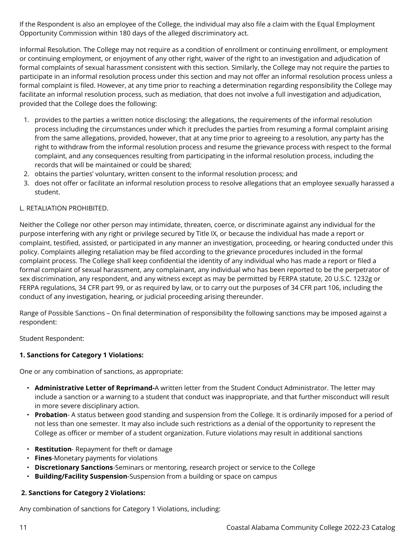If the Respondent is also an employee of the College, the individual may also file a claim with the Equal Employment Opportunity Commission within 180 days of the alleged discriminatory act.

Informal Resolution. The College may not require as a condition of enrollment or continuing enrollment, or employment or continuing employment, or enjoyment of any other right, waiver of the right to an investigation and adjudication of formal complaints of sexual harassment consistent with this section. Similarly, the College may not require the parties to participate in an informal resolution process under this section and may not offer an informal resolution process unless a formal complaint is filed. However, at any time prior to reaching a determination regarding responsibility the College may facilitate an informal resolution process, such as mediation, that does not involve a full investigation and adjudication, provided that the College does the following:

- 1. provides to the parties a written notice disclosing: the allegations, the requirements of the informal resolution process including the circumstances under which it precludes the parties from resuming a formal complaint arising from the same allegations, provided, however, that at any time prior to agreeing to a resolution, any party has the right to withdraw from the informal resolution process and resume the grievance process with respect to the formal complaint, and any consequences resulting from participating in the informal resolution process, including the records that will be maintained or could be shared;
- 2. obtains the parties' voluntary, written consent to the informal resolution process; and
- 3. does not offer or facilitate an informal resolution process to resolve allegations that an employee sexually harassed a student.

# L. RETALIATION PROHIBITED.

Neither the College nor other person may intimidate, threaten, coerce, or discriminate against any individual for the purpose interfering with any right or privilege secured by Title IX, or because the individual has made a report or complaint, testified, assisted, or participated in any manner an investigation, proceeding, or hearing conducted under this policy. Complaints alleging retaliation may be filed according to the grievance procedures included in the formal complaint process. The College shall keep confidential the identity of any individual who has made a report or filed a formal complaint of sexual harassment, any complainant, any individual who has been reported to be the perpetrator of sex discrimination, any respondent, and any witness except as may be permitted by FERPA statute, 20 U.S.C. 1232g or FERPA regulations, 34 CFR part 99, or as required by law, or to carry out the purposes of 34 CFR part 106, including the conduct of any investigation, hearing, or judicial proceeding arising thereunder.

Range of Possible Sanctions – On final determination of responsibility the following sanctions may be imposed against a respondent:

Student Respondent:

# **1. Sanctions for Category 1 Violations:**

One or any combination of sanctions, as appropriate:

- **Administrative Letter of Reprimand-**A written letter from the Student Conduct Administrator. The letter may include a sanction or a warning to a student that conduct was inappropriate, and that further misconduct will result in more severe disciplinary action.
- **Probation** A status between good standing and suspension from the College. It is ordinarily imposed for a period of not less than one semester. It may also include such restrictions as a denial of the opportunity to represent the College as officer or member of a student organization. Future violations may result in additional sanctions
- **Restitution** Repayment for theft or damage
- **Fines**-Monetary payments for violations
- **Discretionary Sanctions**-Seminars or mentoring, research project or service to the College
- **Building/Facility Suspension**-Suspension from a building or space on campus

# **2. Sanctions for Category 2 Violations:**

Any combination of sanctions for Category 1 Violations, including: